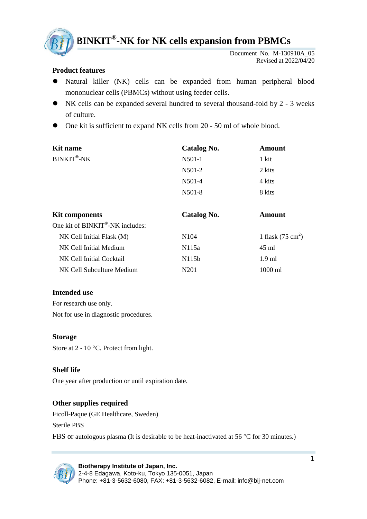

**BINKIT ® -NK for NK cells expansion from PBMCs**

Document No. M-130910A\_05 Revised at 2022/04/20

## **Product features**

- Natural killer (NK) cells can be expanded from human peripheral blood mononuclear cells (PBMCs) without using feeder cells.
- NK cells can be expanded several hundred to several thousand-fold by 2 3 weeks of culture.
- One kit is sufficient to expand NK cells from 20 50 ml of whole blood.

| Kit name   | Catalog No. | Amount |
|------------|-------------|--------|
| BINKIT®-NK | N501-1      | 1 kit  |
|            | N501-2      | 2 kits |
|            | N501-4      | 4 kits |
|            | N501-8      | 8 kits |
|            |             |        |

| <b>Kit components</b>                        | Catalog No.        | Amount                      |
|----------------------------------------------|--------------------|-----------------------------|
| One kit of BINKIT <sup>®</sup> -NK includes: |                    |                             |
| $NK$ Cell Initial Flask $(M)$                | N <sub>104</sub>   | 1 flask $(75 \text{ cm}^2)$ |
| NK Cell Initial Medium                       | N115a              | 45 ml                       |
| NK Cell Initial Cocktail                     | N <sub>115</sub> b | $1.9$ ml                    |
| NK Cell Subculture Medium                    | N201               | 1000 ml                     |

### **Intended use**

For research use only. Not for use in diagnostic procedures.

#### **Storage**

Store at  $2 - 10$  °C. Protect from light.

### **Shelf life**

One year after production or until expiration date.

### **Other supplies required**

Ficoll-Paque (GE Healthcare, Sweden) Sterile PBS FBS or autologous plasma (It is desirable to be heat-inactivated at 56  $\degree$ C for 30 minutes.)

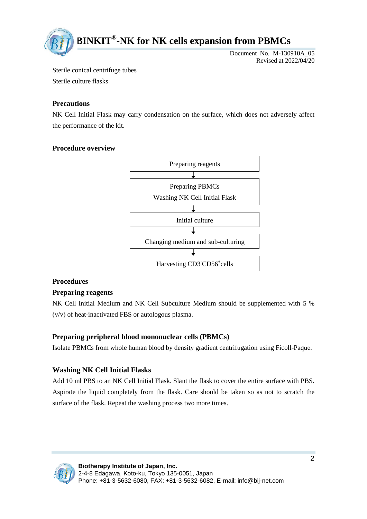

Document No. M-130910A\_05 Revised at 2022/04/20

Sterile conical centrifuge tubes

Sterile culture flasks

# **Precautions**

NK Cell Initial Flask may carry condensation on the surface, which does not adversely affect the performance of the kit.

# **Procedure overview**



# **Procedures**

# **Preparing reagents**

NK Cell Initial Medium and NK Cell Subculture Medium should be supplemented with 5 % (v/v) of heat-inactivated FBS or autologous plasma.

# **Preparing peripheral blood mononuclear cells (PBMCs)**

Isolate PBMCs from whole human blood by density gradient centrifugation using Ficoll-Paque.

# **Washing NK Cell Initial Flasks**

Add 10 ml PBS to an NK Cell Initial Flask. Slant the flask to cover the entire surface with PBS. Aspirate the liquid completely from the flask. Care should be taken so as not to scratch the surface of the flask. Repeat the washing process two more times.

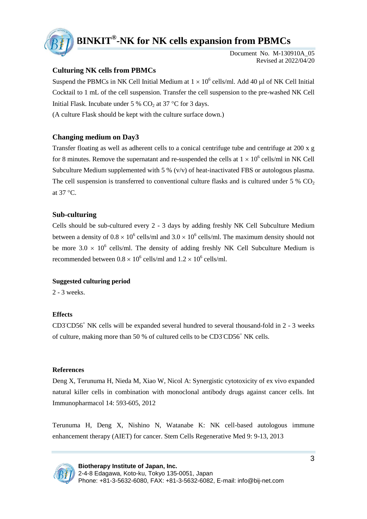

# **BINKIT ® -NK for NK cells expansion from PBMCs**

Document No. M-130910A\_05 Revised at 2022/04/20

### **Culturing NK cells from PBMCs**

Suspend the PBMCs in NK Cell Initial Medium at  $1 \times 10^6$  cells/ml. Add 40 µl of NK Cell Initial Cocktail to 1 mL of the cell suspension. Transfer the cell suspension to the pre-washed NK Cell Initial Flask. Incubate under 5 %  $CO<sub>2</sub>$  at 37 °C for 3 days.

(A culture Flask should be kept with the culture surface down.)

### **Changing medium on Day3**

Transfer floating as well as adherent cells to a conical centrifuge tube and centrifuge at 200 x g for 8 minutes. Remove the supernatant and re-suspended the cells at  $1 \times 10^6$  cells/ml in NK Cell Subculture Medium supplemented with 5 % (v/v) of heat-inactivated FBS or autologous plasma. The cell suspension is transferred to conventional culture flasks and is cultured under 5  $\%$  CO<sub>2</sub>. at  $37^{\circ}$ C.

#### **Sub-culturing**

Cells should be sub-cultured every 2 - 3 days by adding freshly NK Cell Subculture Medium between a density of  $0.8 \times 10^6$  cells/ml and  $3.0 \times 10^6$  cells/ml. The maximum density should not be more  $3.0 \times 10^6$  cells/ml. The density of adding freshly NK Cell Subculture Medium is recommended between  $0.8 \times 10^6$  cells/ml and  $1.2 \times 10^6$  cells/ml.

#### **Suggested culturing period**

2 - 3 weeks.

#### **Effects**

CD3-CD56<sup>+</sup> NK cells will be expanded several hundred to several thousand-fold in 2 - 3 weeks of culture, making more than 50 % of cultured cells to be CD3-CD56<sup>+</sup> NK cells.

#### **References**

Deng X, Terunuma H, Nieda M, Xiao W, Nicol A: Synergistic cytotoxicity of ex vivo expanded natural killer cells in combination with monoclonal antibody drugs against cancer cells. Int Immunopharmacol 14: 593-605, 2012

Terunuma H, Deng X, Nishino N, Watanabe K: NK cell-based autologous immune enhancement therapy (AIET) for cancer. Stem Cells Regenerative Med 9: 9-13, 2013